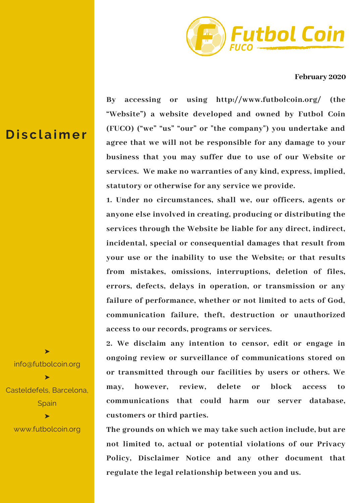

**February 2020**

**By accessing or using http://www.futbolcoin.org/ (the "Website") a website developed and owned by Futbol Coin (FUCO) ("we" "us" "our" or "the company") you undertake and agree that we will not be responsible for any damage to your business that you may suffer due to use of our Website or services. We make no warranties of any kind, express, implied, statutory or otherwise for any service we provide.**

**1. Under no circumstances, shall we, our officers, agents or anyone else involved in creating, producing or distributing the services through the Website be liable for any direct, indirect, incidental, special or consequential damages that result from your use or the inability to use the Website; or that results from mistakes, omissions, interruptions, deletion of files, errors, defects, delays in operation, or transmission or any failure of performance, whether or not limited to acts of God, communication failure, theft, destruction or unauthorized access to our records, programs or services.**

**2. We disclaim any intention to censor, edit or engage in ongoing review or surveillance of communications stored on or transmitted through our facilities by users or others. We may, however, review, delete or block access to communications that could harm our server database, customers or third parties.**

**The grounds on which we may take such action include, but are not limited to, actual or potential violations of our Privacy Policy, Disclaimer Notice and any other document that regulate the legal relationship between you and us.**

## **D i s c l a ime r**

info@futbolcoin.org ➤ Casteldefels, Barcelona, **Spain** ➤

➤

www.futbolcoin.org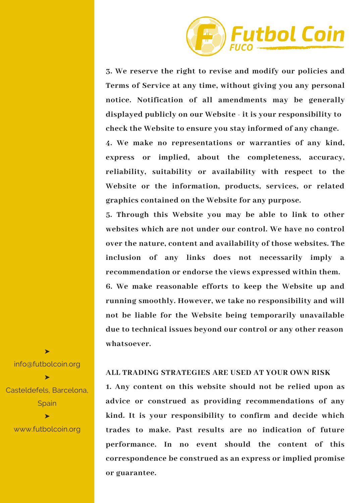

**3. We reserve the right to revise and modify our policies and Terms of Service at any time, without giving you any personal notice. Notification of all amendments may be generally displayed publicly on our Website - it is your responsibility to check the Website to ensure you stay informed of any change.**

**4. We make no representations or warranties of any kind, express or implied, about the completeness, accuracy, reliability, suitability or availability with respect to the Website or the information, products, services, or related graphics contained on the Website for any purpose.**

**5. Through this Website you may be able to link to other websites which are not under our control. We have no control over the nature, content and availability of those websites. The inclusion of any links does not necessarily imply a recommendation or endorse the views expressed within them. 6. We make reasonable efforts to keep the Website up and running smoothly. However, we take no responsibility and will not be liable for the Website being temporarily unavailable due to technical issues beyond our control or any other reason whatsoever.**

## **ALL TRADING STRATEGIES ARE USED AT YOUR OWN RISK**

**1. Any content on this website should not be relied upon as advice or construed as providing recommendations of any kind. It is your responsibility to confirm and decide which trades to make. Past results are no indication of future performance. In no event should the content of this correspondence be construed as an express or implied promise or guarantee.**

info@futbolcoin.org ➤ Casteldefels, Barcelona, **Spain** ➤

➤

www.futbolcoin.org